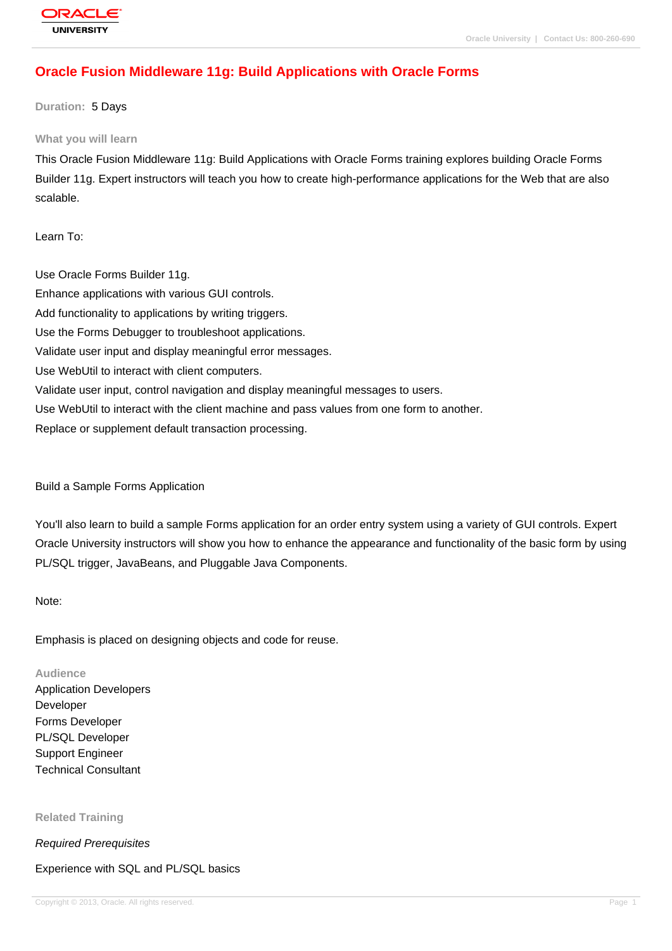# **[Oracle Fusion](http://education.oracle.com/pls/web_prod-plq-dad/db_pages.getpage?page_id=3) Middleware 11g: Build Applications with Oracle Forms**

**Duration:** 5 Days

#### **What you will learn**

This Oracle Fusion Middleware 11g: Build Applications with Oracle Forms training explores building Oracle Forms Builder 11g. Expert instructors will teach you how to create high-performance applications for the Web that are also scalable.

Learn To:

Use Oracle Forms Builder 11g. Enhance applications with various GUI controls. Add functionality to applications by writing triggers. Use the Forms Debugger to troubleshoot applications. Validate user input and display meaningful error messages. Use WebUtil to interact with client computers. Validate user input, control navigation and display meaningful messages to users. Use WebUtil to interact with the client machine and pass values from one form to another. Replace or supplement default transaction processing.

Build a Sample Forms Application

You'll also learn to build a sample Forms application for an order entry system using a variety of GUI controls. Expert Oracle University instructors will show you how to enhance the appearance and functionality of the basic form by using PL/SQL trigger, JavaBeans, and Pluggable Java Components.

Note:

Emphasis is placed on designing objects and code for reuse.

**Audience**

Application Developers Developer Forms Developer PL/SQL Developer Support Engineer Technical Consultant

**Related Training**

Required Prerequisites

Experience with SQL and PL/SQL basics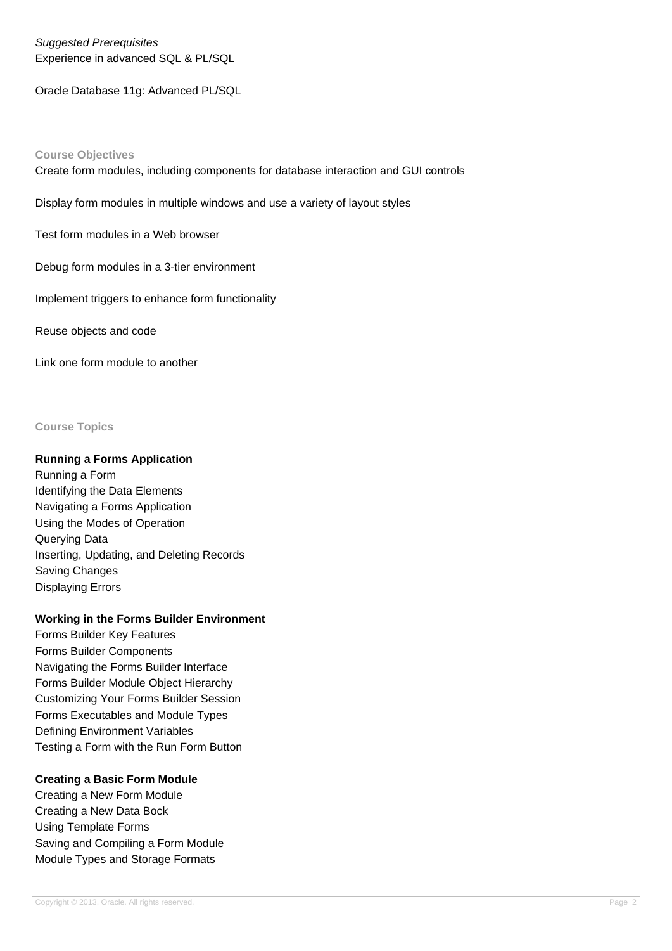Suggested Prerequisites Experience in advanced SQL & PL/SQL

Oracle Database 11g: Advanced PL/SQL

## **Course Objectives**

Create form modules, including components for database interaction and GUI controls

Display form modules in multiple windows and use a variety of layout styles

Test form modules in a Web browser

Debug form modules in a 3-tier environment

Implement triggers to enhance form functionality

Reuse objects and code

Link one form module to another

#### **Course Topics**

## **Running a Forms Application**

Running a Form Identifying the Data Elements Navigating a Forms Application Using the Modes of Operation Querying Data Inserting, Updating, and Deleting Records Saving Changes Displaying Errors

## **Working in the Forms Builder Environment**

Forms Builder Key Features Forms Builder Components Navigating the Forms Builder Interface Forms Builder Module Object Hierarchy Customizing Your Forms Builder Session Forms Executables and Module Types Defining Environment Variables Testing a Form with the Run Form Button

## **Creating a Basic Form Module**

Creating a New Form Module Creating a New Data Bock Using Template Forms Saving and Compiling a Form Module Module Types and Storage Formats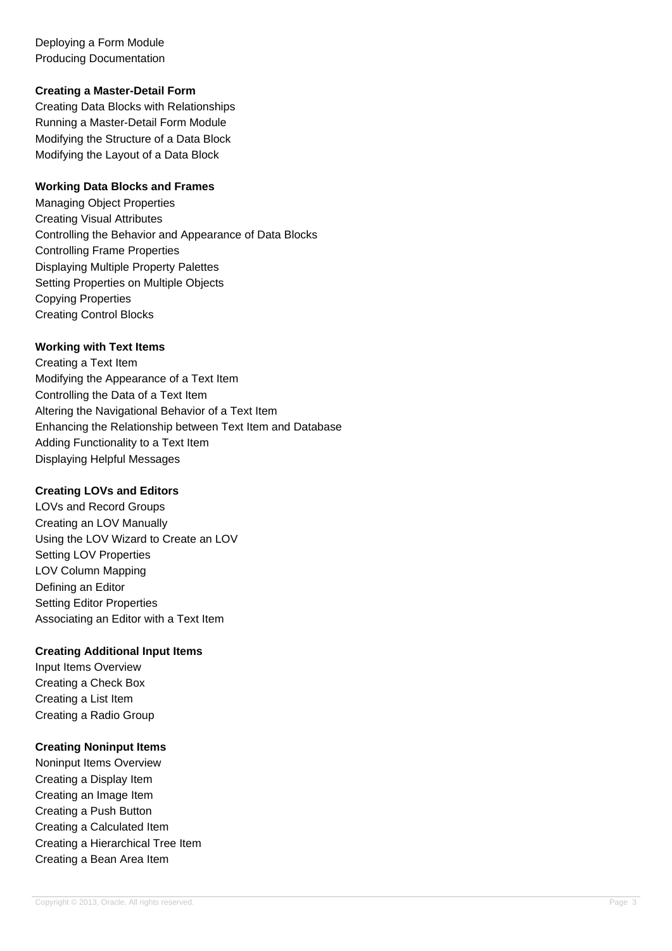Deploying a Form Module Producing Documentation

## **Creating a Master-Detail Form**

Creating Data Blocks with Relationships Running a Master-Detail Form Module Modifying the Structure of a Data Block Modifying the Layout of a Data Block

#### **Working Data Blocks and Frames**

Managing Object Properties Creating Visual Attributes Controlling the Behavior and Appearance of Data Blocks Controlling Frame Properties Displaying Multiple Property Palettes Setting Properties on Multiple Objects Copying Properties Creating Control Blocks

#### **Working with Text Items**

Creating a Text Item Modifying the Appearance of a Text Item Controlling the Data of a Text Item Altering the Navigational Behavior of a Text Item Enhancing the Relationship between Text Item and Database Adding Functionality to a Text Item Displaying Helpful Messages

## **Creating LOVs and Editors**

LOVs and Record Groups Creating an LOV Manually Using the LOV Wizard to Create an LOV Setting LOV Properties LOV Column Mapping Defining an Editor Setting Editor Properties Associating an Editor with a Text Item

## **Creating Additional Input Items**

Input Items Overview Creating a Check Box Creating a List Item Creating a Radio Group

## **Creating Noninput Items**

Noninput Items Overview Creating a Display Item Creating an Image Item Creating a Push Button Creating a Calculated Item Creating a Hierarchical Tree Item Creating a Bean Area Item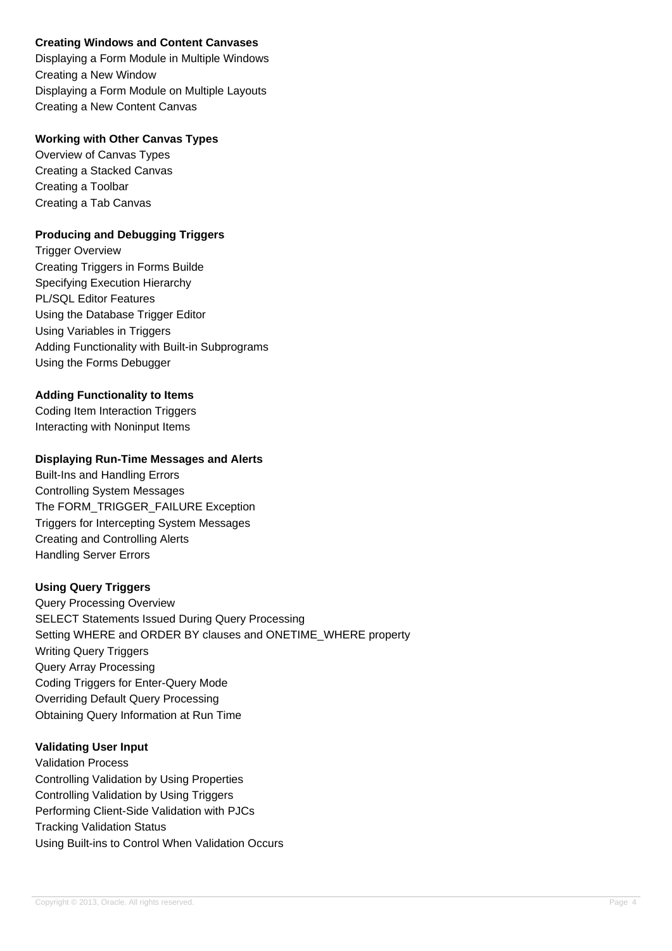## **Creating Windows and Content Canvases**

Displaying a Form Module in Multiple Windows Creating a New Window Displaying a Form Module on Multiple Layouts Creating a New Content Canvas

## **Working with Other Canvas Types**

Overview of Canvas Types Creating a Stacked Canvas Creating a Toolbar Creating a Tab Canvas

## **Producing and Debugging Triggers**

Trigger Overview Creating Triggers in Forms Builde Specifying Execution Hierarchy PL/SQL Editor Features Using the Database Trigger Editor Using Variables in Triggers Adding Functionality with Built-in Subprograms Using the Forms Debugger

## **Adding Functionality to Items**

Coding Item Interaction Triggers Interacting with Noninput Items

## **Displaying Run-Time Messages and Alerts**

Built-Ins and Handling Errors Controlling System Messages The FORM\_TRIGGER\_FAILURE Exception Triggers for Intercepting System Messages Creating and Controlling Alerts Handling Server Errors

# **Using Query Triggers**

Query Processing Overview SELECT Statements Issued During Query Processing Setting WHERE and ORDER BY clauses and ONETIME\_WHERE property Writing Query Triggers Query Array Processing Coding Triggers for Enter-Query Mode Overriding Default Query Processing Obtaining Query Information at Run Time

# **Validating User Input**

Validation Process Controlling Validation by Using Properties Controlling Validation by Using Triggers Performing Client-Side Validation with PJCs Tracking Validation Status Using Built-ins to Control When Validation Occurs